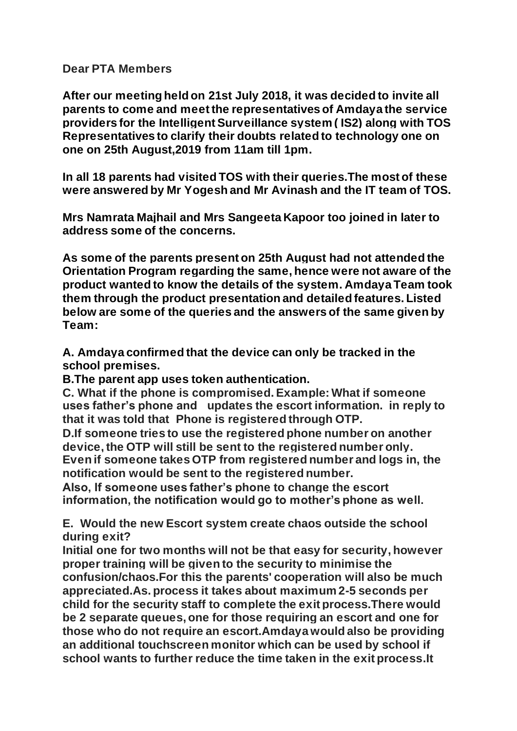## **Dear PTA Members**

**After our meeting held on 21st July 2018, it was decided to invite all parents to come and meet the representatives of Amdaya the service providers for the Intelligent Surveillance system ( IS2) along with TOS Representatives to clarify their doubts related to technology one on one on 25th August,2019 from 11am till 1pm.**

**In all 18 parents had visited TOS with their queries.The most of these were answered by Mr Yogesh and Mr Avinash and the IT team of TOS.**

**Mrs Namrata Majhail and Mrs Sangeeta Kapoor too joined in later to address some of the concerns.**

**As some of the parents present on 25th August had not attended the Orientation Program regarding the same, hence were not aware of the product wanted to know the details of the system. Amdaya Team took them through the product presentation and detailed features. Listed below are some of the queries and the answers of the same given by Team:** 

**A. Amdaya confirmed that the device can only be tracked in the school premises.**

**B.The parent app uses token authentication.**

**C. What if the phone is compromised. Example: What if someone uses father's phone and updates the escort information. in reply to that it was told that Phone is registered through OTP.**

**D.If someone tries to use the registered phone number on another device, the OTP will still be sent to the registered number only. Even if someone takes OTP from registered number and logs in, the notification would be sent to the registered number.**

**Also, If someone uses father's phone to change the escort information, the notification would go to mother's phone as well.** 

**E. Would the new Escort system create chaos outside the school during exit?**

**Initial one for two months will not be that easy for security, however proper training will be given to the security to minimise the confusion/chaos.For this the parents' cooperation will also be much appreciated.As. process it takes about maximum 2-5 seconds per child for the security staff to complete the exit process.There would be 2 separate queues, one for those requiring an escort and one for those who do not require an escort.Amdaya would also be providing an additional touchscreen monitor which can be used by school if school wants to further reduce the time taken in the exit process.It**